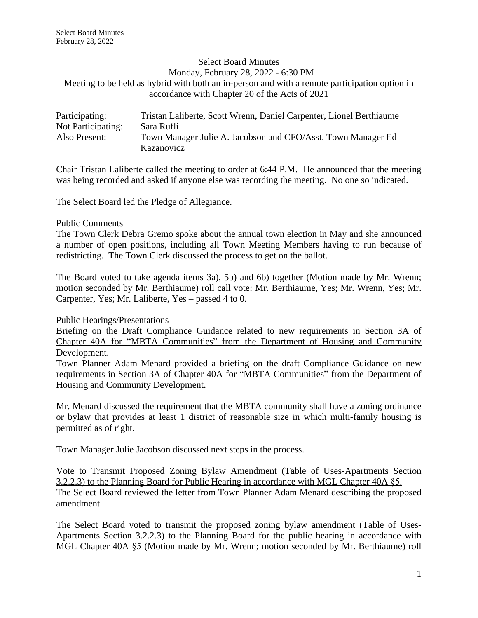### Select Board Minutes Monday, February 28, 2022 - 6:30 PM Meeting to be held as hybrid with both an in-person and with a remote participation option in accordance with Chapter 20 of the Acts of 2021

| Participating:     | Tristan Laliberte, Scott Wrenn, Daniel Carpenter, Lionel Berthiaume |
|--------------------|---------------------------------------------------------------------|
| Not Participating: | Sara Rufli                                                          |
| Also Present:      | Town Manager Julie A. Jacobson and CFO/Asst. Town Manager Ed        |
|                    | Kazanovicz                                                          |

Chair Tristan Laliberte called the meeting to order at 6:44 P.M. He announced that the meeting was being recorded and asked if anyone else was recording the meeting. No one so indicated.

The Select Board led the Pledge of Allegiance.

#### Public Comments

The Town Clerk Debra Gremo spoke about the annual town election in May and she announced a number of open positions, including all Town Meeting Members having to run because of redistricting. The Town Clerk discussed the process to get on the ballot.

The Board voted to take agenda items 3a), 5b) and 6b) together (Motion made by Mr. Wrenn; motion seconded by Mr. Berthiaume) roll call vote: Mr. Berthiaume, Yes; Mr. Wrenn, Yes; Mr. Carpenter, Yes; Mr. Laliberte, Yes – passed 4 to 0.

Public Hearings/Presentations

Briefing on the Draft Compliance Guidance related to new requirements in Section 3A of Chapter 40A for "MBTA Communities" from the Department of Housing and Community Development.

Town Planner Adam Menard provided a briefing on the draft Compliance Guidance on new requirements in Section 3A of Chapter 40A for "MBTA Communities" from the Department of Housing and Community Development.

Mr. Menard discussed the requirement that the MBTA community shall have a zoning ordinance or bylaw that provides at least 1 district of reasonable size in which multi-family housing is permitted as of right.

Town Manager Julie Jacobson discussed next steps in the process.

Vote to Transmit Proposed Zoning Bylaw Amendment (Table of Uses-Apartments Section 3.2.2.3) to the Planning Board for Public Hearing in accordance with MGL Chapter 40A §5. The Select Board reviewed the letter from Town Planner Adam Menard describing the proposed amendment.

The Select Board voted to transmit the proposed zoning bylaw amendment (Table of Uses-Apartments Section 3.2.2.3) to the Planning Board for the public hearing in accordance with MGL Chapter 40A §5 (Motion made by Mr. Wrenn; motion seconded by Mr. Berthiaume) roll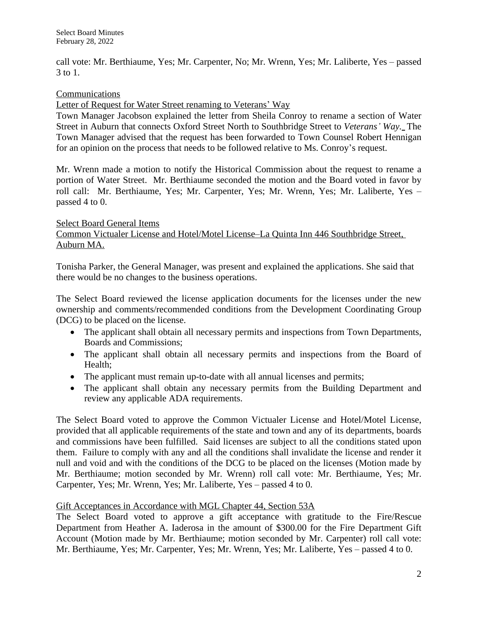call vote: Mr. Berthiaume, Yes; Mr. Carpenter, No; Mr. Wrenn, Yes; Mr. Laliberte, Yes – passed 3 to 1.

## Communications

Letter of Request for Water Street renaming to Veterans' Way

Town Manager Jacobson explained the letter from Sheila Conroy to rename a section of Water Street in Auburn that connects Oxford Street North to Southbridge Street to *Veterans' Way.* The Town Manager advised that the request has been forwarded to Town Counsel Robert Hennigan for an opinion on the process that needs to be followed relative to Ms. Conroy's request.

Mr. Wrenn made a motion to notify the Historical Commission about the request to rename a portion of Water Street. Mr. Berthiaume seconded the motion and the Board voted in favor by roll call: Mr. Berthiaume, Yes; Mr. Carpenter, Yes; Mr. Wrenn, Yes; Mr. Laliberte, Yes – passed 4 to 0.

#### Select Board General Items Common Victualer License and Hotel/Motel License–La Quinta Inn 446 Southbridge Street, Auburn MA.

Tonisha Parker, the General Manager, was present and explained the applications. She said that there would be no changes to the business operations.

The Select Board reviewed the license application documents for the licenses under the new ownership and comments/recommended conditions from the Development Coordinating Group (DCG) to be placed on the license.

- The applicant shall obtain all necessary permits and inspections from Town Departments, Boards and Commissions;
- The applicant shall obtain all necessary permits and inspections from the Board of Health;
- The applicant must remain up-to-date with all annual licenses and permits;
- The applicant shall obtain any necessary permits from the Building Department and review any applicable ADA requirements.

The Select Board voted to approve the Common Victualer License and Hotel/Motel License, provided that all applicable requirements of the state and town and any of its departments, boards and commissions have been fulfilled. Said licenses are subject to all the conditions stated upon them. Failure to comply with any and all the conditions shall invalidate the license and render it null and void and with the conditions of the DCG to be placed on the licenses (Motion made by Mr. Berthiaume; motion seconded by Mr. Wrenn) roll call vote: Mr. Berthiaume, Yes; Mr. Carpenter, Yes; Mr. Wrenn, Yes; Mr. Laliberte, Yes – passed 4 to 0.

# Gift Acceptances in Accordance with MGL Chapter 44, Section 53A

The Select Board voted to approve a gift acceptance with gratitude to the Fire/Rescue Department from Heather A. Iaderosa in the amount of \$300.00 for the Fire Department Gift Account (Motion made by Mr. Berthiaume; motion seconded by Mr. Carpenter) roll call vote: Mr. Berthiaume, Yes; Mr. Carpenter, Yes; Mr. Wrenn, Yes; Mr. Laliberte, Yes – passed 4 to 0.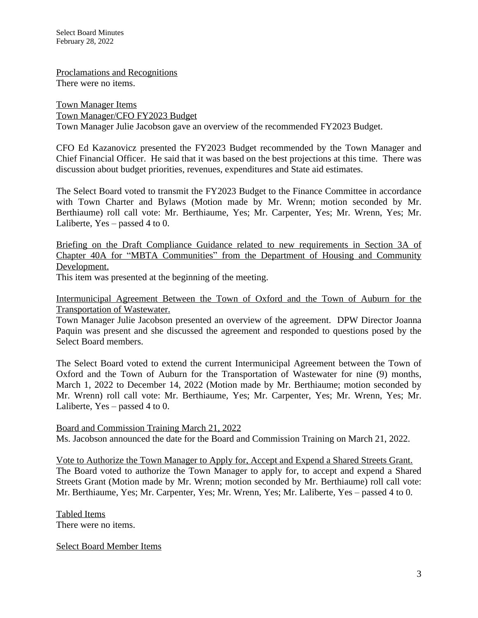Proclamations and Recognitions There were no items.

Town Manager Items Town Manager/CFO FY2023 Budget Town Manager Julie Jacobson gave an overview of the recommended FY2023 Budget.

CFO Ed Kazanovicz presented the FY2023 Budget recommended by the Town Manager and Chief Financial Officer. He said that it was based on the best projections at this time. There was discussion about budget priorities, revenues, expenditures and State aid estimates.

The Select Board voted to transmit the FY2023 Budget to the Finance Committee in accordance with Town Charter and Bylaws (Motion made by Mr. Wrenn; motion seconded by Mr. Berthiaume) roll call vote: Mr. Berthiaume, Yes; Mr. Carpenter, Yes; Mr. Wrenn, Yes; Mr. Laliberte,  $Yes - passed 4 to 0$ .

Briefing on the Draft Compliance Guidance related to new requirements in Section 3A of Chapter 40A for "MBTA Communities" from the Department of Housing and Community Development.

This item was presented at the beginning of the meeting.

Intermunicipal Agreement Between the Town of Oxford and the Town of Auburn for the Transportation of Wastewater.

Town Manager Julie Jacobson presented an overview of the agreement. DPW Director Joanna Paquin was present and she discussed the agreement and responded to questions posed by the Select Board members.

The Select Board voted to extend the current Intermunicipal Agreement between the Town of Oxford and the Town of Auburn for the Transportation of Wastewater for nine (9) months, March 1, 2022 to December 14, 2022 (Motion made by Mr. Berthiaume; motion seconded by Mr. Wrenn) roll call vote: Mr. Berthiaume, Yes; Mr. Carpenter, Yes; Mr. Wrenn, Yes; Mr. Laliberte, Yes – passed 4 to 0.

Board and Commission Training March 21, 2022 Ms. Jacobson announced the date for the Board and Commission Training on March 21, 2022.

Vote to Authorize the Town Manager to Apply for, Accept and Expend a Shared Streets Grant. The Board voted to authorize the Town Manager to apply for, to accept and expend a Shared Streets Grant (Motion made by Mr. Wrenn; motion seconded by Mr. Berthiaume) roll call vote: Mr. Berthiaume, Yes; Mr. Carpenter, Yes; Mr. Wrenn, Yes; Mr. Laliberte, Yes – passed 4 to 0.

Tabled Items There were no items.

Select Board Member Items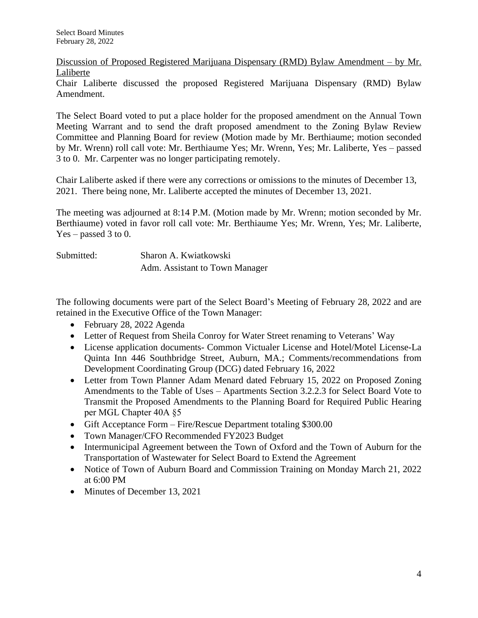Discussion of Proposed Registered Marijuana Dispensary (RMD) Bylaw Amendment – by Mr. Laliberte

Chair Laliberte discussed the proposed Registered Marijuana Dispensary (RMD) Bylaw Amendment.

The Select Board voted to put a place holder for the proposed amendment on the Annual Town Meeting Warrant and to send the draft proposed amendment to the Zoning Bylaw Review Committee and Planning Board for review (Motion made by Mr. Berthiaume; motion seconded by Mr. Wrenn) roll call vote: Mr. Berthiaume Yes; Mr. Wrenn, Yes; Mr. Laliberte, Yes – passed 3 to 0. Mr. Carpenter was no longer participating remotely.

Chair Laliberte asked if there were any corrections or omissions to the minutes of December 13, 2021. There being none, Mr. Laliberte accepted the minutes of December 13, 2021.

The meeting was adjourned at 8:14 P.M. (Motion made by Mr. Wrenn; motion seconded by Mr. Berthiaume) voted in favor roll call vote: Mr. Berthiaume Yes; Mr. Wrenn, Yes; Mr. Laliberte, Yes – passed 3 to 0.

| Submitted: | Sharon A. Kwiatkowski          |
|------------|--------------------------------|
|            | Adm. Assistant to Town Manager |

The following documents were part of the Select Board's Meeting of February 28, 2022 and are retained in the Executive Office of the Town Manager:

- February 28, 2022 Agenda
- Letter of Request from Sheila Conroy for Water Street renaming to Veterans' Way
- License application documents- Common Victualer License and Hotel/Motel License-La Quinta Inn 446 Southbridge Street, Auburn, MA.; Comments/recommendations from Development Coordinating Group (DCG) dated February 16, 2022
- Letter from Town Planner Adam Menard dated February 15, 2022 on Proposed Zoning Amendments to the Table of Uses – Apartments Section 3.2.2.3 for Select Board Vote to Transmit the Proposed Amendments to the Planning Board for Required Public Hearing per MGL Chapter 40A §5
- Gift Acceptance Form Fire/Rescue Department totaling \$300.00
- Town Manager/CFO Recommended FY2023 Budget
- Intermunicipal Agreement between the Town of Oxford and the Town of Auburn for the Transportation of Wastewater for Select Board to Extend the Agreement
- Notice of Town of Auburn Board and Commission Training on Monday March 21, 2022 at 6:00 PM
- Minutes of December 13, 2021